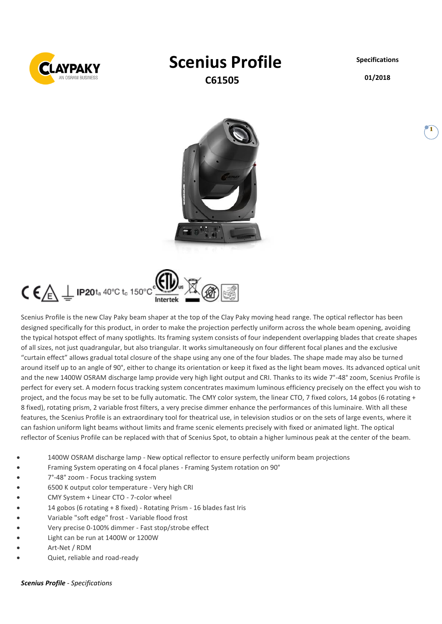

# **Scenius Profile**

**C61505**

**Specifications**

**01/2018**

**1**



 $\zeta \in \mathbb{A}$  IP20ta 40°C to 150°C

Scenius Profile is the new Clay Paky beam shaper at the top of the Clay Paky moving head range. The optical reflector has been designed specifically for this product, in order to make the projection perfectly uniform across the whole beam opening, avoiding the typical hotspot effect of many spotlights. Its framing system consists of four independent overlapping blades that create shapes of all sizes, not just quadrangular, but also triangular. It works simultaneously on four different focal planes and the exclusive "curtain effect" allows gradual total closure of the shape using any one of the four blades. The shape made may also be turned around itself up to an angle of 90°, either to change its orientation or keep it fixed as the light beam moves. Its advanced optical unit and the new 1400W OSRAM discharge lamp provide very high light output and CRI. Thanks to its wide 7°-48° zoom, Scenius Profile is perfect for every set. A modern focus tracking system concentrates maximum luminous efficiency precisely on the effect you wish to project, and the focus may be set to be fully automatic. The CMY color system, the linear CTO, 7 fixed colors, 14 gobos (6 rotating + 8 fixed), rotating prism, 2 variable frost filters, a very precise dimmer enhance the performances of this luminaire. With all these features, the Scenius Profile is an extraordinary tool for theatrical use, in television studios or on the sets of large events, where it can fashion uniform light beams without limits and frame scenic elements precisely with fixed or animated light. The optical reflector of Scenius Profile can be replaced with that of Scenius Spot, to obtain a higher luminous peak at the center of the beam.

- 1400W OSRAM discharge lamp New optical reflector to ensure perfectly uniform beam projections
- Framing System operating on 4 focal planes Framing System rotation on 90°
- 7°-48° zoom Focus tracking system
- 6500 K output color temperature Very high CRI
- CMY System + Linear CTO 7-color wheel
- 14 gobos (6 rotating + 8 fixed) Rotating Prism 16 blades fast Iris
- Variable "soft edge" frost Variable flood frost
- Very precise 0-100% dimmer Fast stop/strobe effect
- Light can be run at 1400W or 1200W
- Art-Net / RDM
- Quiet, reliable and road-ready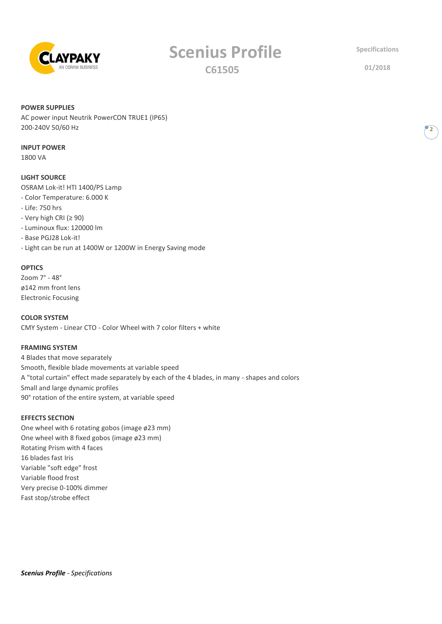

# **Scenius Profile C61505**

**Specifications**

**01/2018**

**2**

#### **POWER SUPPLIES**

AC power input Neutrik PowerCON TRUE1 (IP65) 200-240V 50/60 Hz

### **INPUT POWER**

1800 VA

# **LIGHT SOURCE**

OSRAM Lok-it! HTI 1400/PS Lamp

- Color Temperature: 6.000 K
- Life: 750 hrs
- Very high CRI (≥ 90)
- Luminoux flux: 120000 lm
- Base PGJ28 Lok-it!
- Light can be run at 1400W or 1200W in Energy Saving mode

### **OPTICS**

Zoom 7° - 48° ø142 mm front lens Electronic Focusing

**COLOR SYSTEM** CMY System - Linear CTO - Color Wheel with 7 color filters + white

# **FRAMING SYSTEM**

4 Blades that move separately Smooth, flexible blade movements at variable speed A "total curtain" effect made separately by each of the 4 blades, in many - shapes and colors Small and large dynamic profiles 90° rotation of the entire system, at variable speed

# **EFFECTS SECTION**

One wheel with 6 rotating gobos (image ø23 mm) One wheel with 8 fixed gobos (image ø23 mm) Rotating Prism with 4 faces 16 blades fast Iris Variable "soft edge" frost Variable flood frost Very precise 0-100% dimmer Fast stop/strobe effect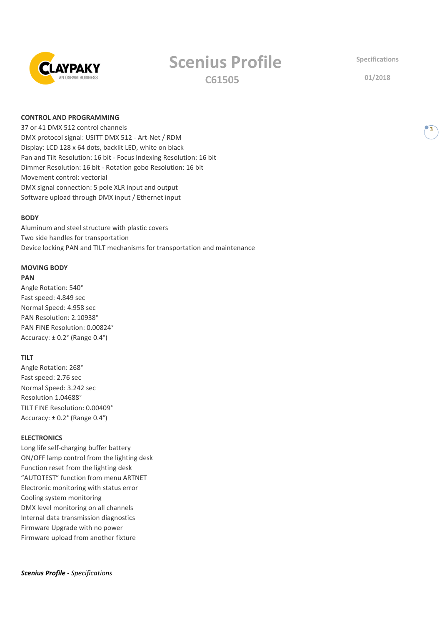

# **Scenius Profile**

**C61505**

**Specifications**

**01/2018**

# **CONTROL AND PROGRAMMING**

37 or 41 DMX 512 control channels DMX protocol signal: USITT DMX 512 - Art-Net / RDM Display: LCD 128 x 64 dots, backlit LED, white on black Pan and Tilt Resolution: 16 bit - Focus Indexing Resolution: 16 bit Dimmer Resolution: 16 bit - Rotation gobo Resolution: 16 bit Movement control: vectorial DMX signal connection: 5 pole XLR input and output Software upload through DMX input / Ethernet input

#### **BODY**

Aluminum and steel structure with plastic covers Two side handles for transportation Device locking PAN and TILT mechanisms for transportation and maintenance

# **MOVING BODY**

# **PAN**

Angle Rotation: 540° Fast speed: 4.849 sec Normal Speed: 4.958 sec PAN Resolution: 2.10938° PAN FINE Resolution: 0.00824° Accuracy: ± 0.2° (Range 0.4°)

#### **TILT**

Angle Rotation: 268° Fast speed: 2.76 sec Normal Speed: 3.242 sec Resolution 1.04688° TILT FINE Resolution: 0.00409° Accuracy: ± 0.2° (Range 0.4°)

#### **ELECTRONICS**

Long life self-charging buffer battery ON/OFF lamp control from the lighting desk Function reset from the lighting desk "AUTOTEST" function from menu ARTNET Electronic monitoring with status error Cooling system monitoring DMX level monitoring on all channels Internal data transmission diagnostics Firmware Upgrade with no power Firmware upload from another fixture